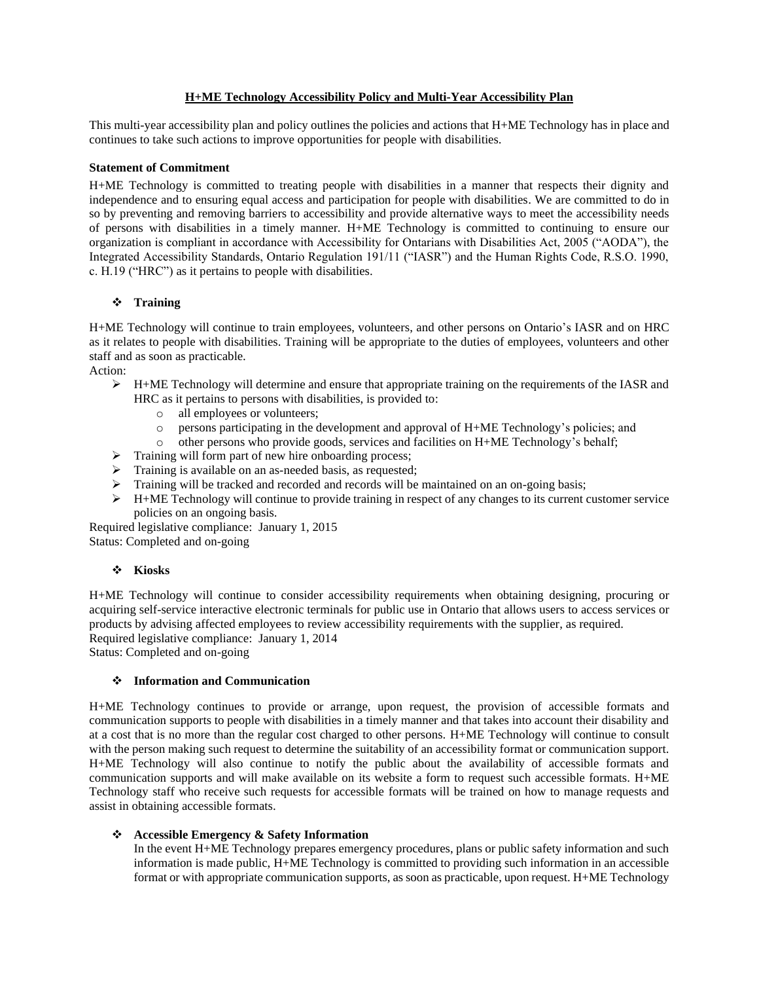### **H+ME Technology Accessibility Policy and Multi-Year Accessibility Plan**

This multi-year accessibility plan and policy outlines the policies and actions that H+ME Technology has in place and continues to take such actions to improve opportunities for people with disabilities.

#### **Statement of Commitment**

H+ME Technology is committed to treating people with disabilities in a manner that respects their dignity and independence and to ensuring equal access and participation for people with disabilities. We are committed to do in so by preventing and removing barriers to accessibility and provide alternative ways to meet the accessibility needs of persons with disabilities in a timely manner. H+ME Technology is committed to continuing to ensure our organization is compliant in accordance with Accessibility for Ontarians with Disabilities Act, 2005 ("AODA"), the Integrated Accessibility Standards, Ontario Regulation 191/11 ("IASR") and the Human Rights Code, R.S.O. 1990, c. H.19 ("HRC") as it pertains to people with disabilities.

#### ❖ **Training**

H+ME Technology will continue to train employees, volunteers, and other persons on Ontario's IASR and on HRC as it relates to people with disabilities. Training will be appropriate to the duties of employees, volunteers and other staff and as soon as practicable.

Action:

- ➢ H+ME Technology will determine and ensure that appropriate training on the requirements of the IASR and HRC as it pertains to persons with disabilities, is provided to:
	- o all employees or volunteers;
	- o persons participating in the development and approval of H+ME Technology's policies; and
	- $\circ$  other persons who provide goods, services and facilities on H+ME Technology's behalf;
- ➢ Training will form part of new hire onboarding process;
- ➢ Training is available on an as-needed basis, as requested;
- ➢ Training will be tracked and recorded and records will be maintained on an on-going basis;
- ➢ H+ME Technology will continue to provide training in respect of any changes to its current customer service policies on an ongoing basis.

Required legislative compliance: January 1, 2015 Status: Completed and on-going

### ❖ **Kiosks**

H+ME Technology will continue to consider accessibility requirements when obtaining designing, procuring or acquiring self-service interactive electronic terminals for public use in Ontario that allows users to access services or products by advising affected employees to review accessibility requirements with the supplier, as required. Required legislative compliance: January 1, 2014 Status: Completed and on-going

### ❖ **Information and Communication**

H+ME Technology continues to provide or arrange, upon request, the provision of accessible formats and communication supports to people with disabilities in a timely manner and that takes into account their disability and at a cost that is no more than the regular cost charged to other persons. H+ME Technology will continue to consult with the person making such request to determine the suitability of an accessibility format or communication support. H+ME Technology will also continue to notify the public about the availability of accessible formats and communication supports and will make available on its website a form to request such accessible formats. H+ME Technology staff who receive such requests for accessible formats will be trained on how to manage requests and assist in obtaining accessible formats.

### ❖ **Accessible Emergency & Safety Information**

In the event H+ME Technology prepares emergency procedures, plans or public safety information and such information is made public, H+ME Technology is committed to providing such information in an accessible format or with appropriate communication supports, as soon as practicable, upon request. H+ME Technology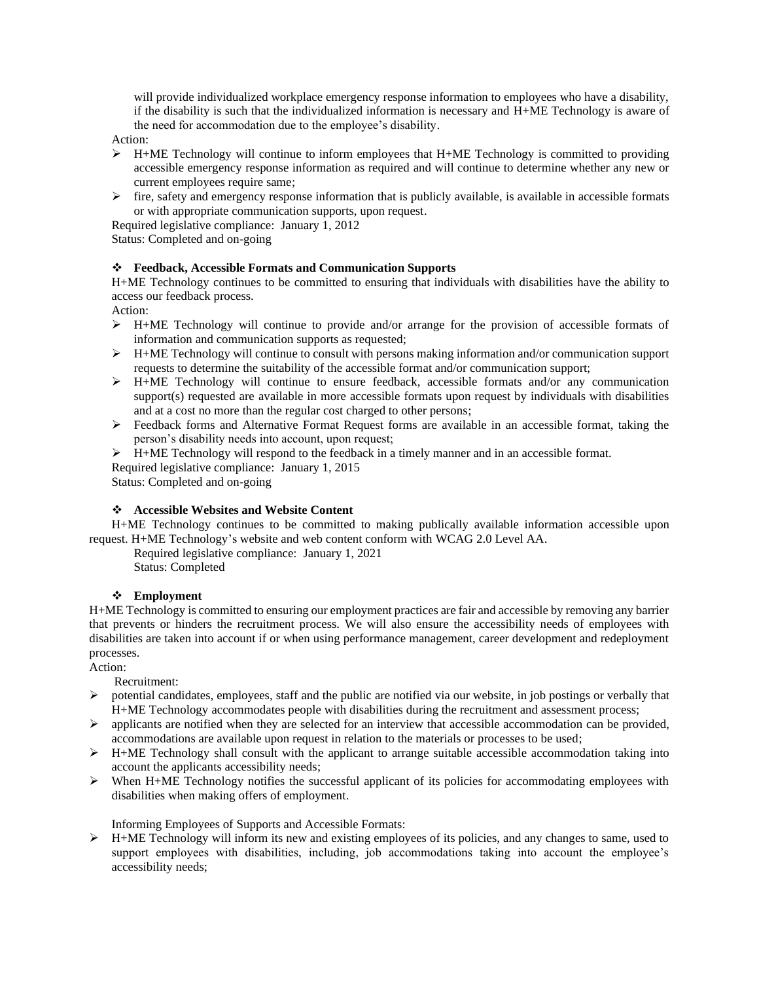will provide individualized workplace emergency response information to employees who have a disability, if the disability is such that the individualized information is necessary and H+ME Technology is aware of the need for accommodation due to the employee's disability.

Action:

- $\triangleright$  H+ME Technology will continue to inform employees that H+ME Technology is committed to providing accessible emergency response information as required and will continue to determine whether any new or current employees require same;
- ➢ fire, safety and emergency response information that is publicly available, is available in accessible formats or with appropriate communication supports, upon request.

Required legislative compliance: January 1, 2012

Status: Completed and on-going

## ❖ **Feedback, Accessible Formats and Communication Supports**

H+ME Technology continues to be committed to ensuring that individuals with disabilities have the ability to access our feedback process.

Action:

- ➢ H+ME Technology will continue to provide and/or arrange for the provision of accessible formats of information and communication supports as requested;
- $\triangleright$  H+ME Technology will continue to consult with persons making information and/or communication support requests to determine the suitability of the accessible format and/or communication support;
- ➢ H+ME Technology will continue to ensure feedback, accessible formats and/or any communication support(s) requested are available in more accessible formats upon request by individuals with disabilities and at a cost no more than the regular cost charged to other persons;
- ➢ Feedback forms and Alternative Format Request forms are available in an accessible format, taking the person's disability needs into account, upon request;

 $\triangleright$  H+ME Technology will respond to the feedback in a timely manner and in an accessible format.

Required legislative compliance: January 1, 2015

Status: Completed and on-going

### ❖ **Accessible Websites and Website Content**

H+ME Technology continues to be committed to making publically available information accessible upon request. H+ME Technology's website and web content conform with WCAG 2.0 Level AA.

Required legislative compliance: January 1, 2021 Status: Completed

### ❖ **Employment**

H+ME Technology is committed to ensuring our employment practices are fair and accessible by removing any barrier that prevents or hinders the recruitment process. We will also ensure the accessibility needs of employees with disabilities are taken into account if or when using performance management, career development and redeployment processes.

Action:

Recruitment:

- ➢ potential candidates, employees, staff and the public are notified via our website, in job postings or verbally that H+ME Technology accommodates people with disabilities during the recruitment and assessment process;
- $\triangleright$  applicants are notified when they are selected for an interview that accessible accommodation can be provided, accommodations are available upon request in relation to the materials or processes to be used;
- $\triangleright$  H+ME Technology shall consult with the applicant to arrange suitable accessible accommodation taking into account the applicants accessibility needs;
- $\triangleright$  When H+ME Technology notifies the successful applicant of its policies for accommodating employees with disabilities when making offers of employment.

Informing Employees of Supports and Accessible Formats:

➢ H+ME Technology will inform its new and existing employees of its policies, and any changes to same, used to support employees with disabilities, including, job accommodations taking into account the employee's accessibility needs;